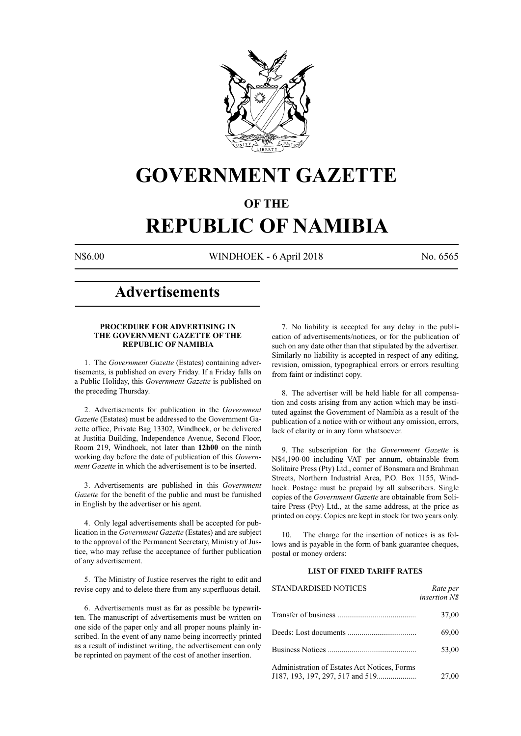

# **GOVERNMENT GAZETTE**

# **OF THE**

# **REPUBLIC OF NAMIBIA**

N\$6.00 WINDHOEK - 6 April 2018 No. 6565

# **Advertisements**

# **PROCEDURE FOR ADVERTISING IN THE GOVERNMENT GAZETTE OF THE REPUBLIC OF NAMIBIA**

1. The *Government Gazette* (Estates) containing advertisements, is published on every Friday. If a Friday falls on a Public Holiday, this *Government Gazette* is published on the preceding Thursday.

2. Advertisements for publication in the *Government Gazette* (Estates) must be addressed to the Government Gazette office, Private Bag 13302, Windhoek, or be delivered at Justitia Building, Independence Avenue, Second Floor, Room 219, Windhoek, not later than **12h00** on the ninth working day before the date of publication of this *Government Gazette* in which the advertisement is to be inserted.

3. Advertisements are published in this *Government Gazette* for the benefit of the public and must be furnished in English by the advertiser or his agent.

4. Only legal advertisements shall be accepted for publication in the *Government Gazette* (Estates) and are subject to the approval of the Permanent Secretary, Ministry of Justice, who may refuse the acceptance of further publication of any advertisement.

5. The Ministry of Justice reserves the right to edit and revise copy and to delete there from any superfluous detail.

6. Advertisements must as far as possible be typewritten. The manuscript of advertisements must be written on one side of the paper only and all proper nouns plainly inscribed. In the event of any name being incorrectly printed as a result of indistinct writing, the advertisement can only be reprinted on payment of the cost of another insertion.

7. No liability is accepted for any delay in the publication of advertisements/notices, or for the publication of such on any date other than that stipulated by the advertiser. Similarly no liability is accepted in respect of any editing, revision, omission, typographical errors or errors resulting from faint or indistinct copy.

8. The advertiser will be held liable for all compensation and costs arising from any action which may be instituted against the Government of Namibia as a result of the publication of a notice with or without any omission, errors, lack of clarity or in any form whatsoever.

9. The subscription for the *Government Gazette* is N\$4,190-00 including VAT per annum, obtainable from Solitaire Press (Pty) Ltd., corner of Bonsmara and Brahman Streets, Northern Industrial Area, P.O. Box 1155, Windhoek. Postage must be prepaid by all subscribers. Single copies of the *Government Gazette* are obtainable from Solitaire Press (Pty) Ltd., at the same address, at the price as printed on copy. Copies are kept in stock for two years only.

10. The charge for the insertion of notices is as follows and is payable in the form of bank guarantee cheques, postal or money orders:

# **LIST OF FIXED TARIFF RATES**

| <b>STANDARDISED NOTICES</b>                  | Rate per<br><i>insertion NS</i> |
|----------------------------------------------|---------------------------------|
|                                              | 37,00                           |
|                                              | 69,00                           |
|                                              | 53,00                           |
| Administration of Estates Act Notices, Forms | 27,00                           |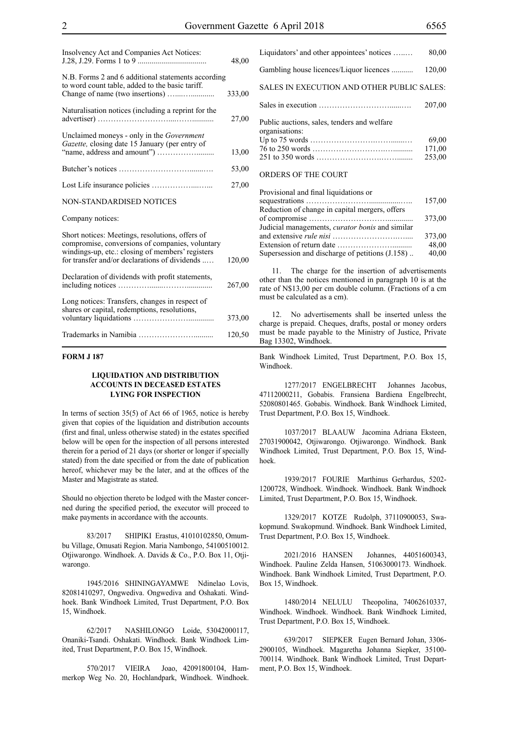| Insolvency Act and Companies Act Notices:                                                                                                              | 48,00  |
|--------------------------------------------------------------------------------------------------------------------------------------------------------|--------|
| N.B. Forms 2 and 6 additional statements according<br>to word count table, added to the basic tariff.                                                  | 333,00 |
|                                                                                                                                                        |        |
| Naturalisation notices (including a reprint for the                                                                                                    | 27,00  |
| Unclaimed moneys - only in the Government<br>Gazette, closing date 15 January (per entry of                                                            |        |
|                                                                                                                                                        | 13,00  |
|                                                                                                                                                        | 53,00  |
|                                                                                                                                                        | 27,00  |
| NON-STANDARDISED NOTICES                                                                                                                               |        |
| Company notices:                                                                                                                                       |        |
| Short notices: Meetings, resolutions, offers of<br>compromise, conversions of companies, voluntary<br>windings-up, etc.: closing of members' registers |        |
| for transfer and/or declarations of dividends                                                                                                          | 120,00 |
| Declaration of dividends with profit statements,                                                                                                       | 267,00 |
| Long notices: Transfers, changes in respect of<br>shares or capital, redemptions, resolutions,                                                         |        |
|                                                                                                                                                        | 373,00 |
|                                                                                                                                                        | 120,50 |

# **FORM J 187**

# **LIQUIDATION AND DISTRIBUTION ACCOUNTS IN DECEASED ESTATES LYING FOR INSPECTION**

In terms of section 35(5) of Act 66 of 1965, notice is hereby given that copies of the liquidation and distribution accounts (first and final, unless otherwise stated) in the estates specified below will be open for the inspection of all persons interested therein for a period of 21 days (or shorter or longer if specially stated) from the date specified or from the date of publication hereof, whichever may be the later, and at the offices of the Master and Magistrate as stated.

Should no objection thereto be lodged with the Master concerned during the specified period, the executor will proceed to make payments in accordance with the accounts.

83/2017 SHIPIKI Erastus, 41010102850, Omumbu Village, Omusati Region. Maria Nambongo, 54100510012. Otjiwarongo. Windhoek. A. Davids & Co., P.O. Box 11, Otjiwarongo.

1945/2016 SHININGAYAMWE Ndinelao Lovis, 82081410297, Ongwediva. Ongwediva and Oshakati. Windhoek. Bank Windhoek Limited, Trust Department, P.O. Box 15, Windhoek.

62/2017 NASHILONGO Loide, 53042000117, Onaniki-Tsandi. Oshakati. Windhoek. Bank Windhoek Limited, Trust Department, P.O. Box 15, Windhoek.

570/2017 VIEIRA Joao, 42091800104, Hammerkop Weg No. 20, Hochlandpark, Windhoek. Windhoek.

| Liquidators' and other appointees' notices                    | 80,00                     |
|---------------------------------------------------------------|---------------------------|
| Gambling house licences/Liquor licences                       | 120,00                    |
| SALES IN EXECUTION AND OTHER PUBLIC SALES:                    |                           |
|                                                               | 207,00                    |
| Public auctions, sales, tenders and welfare<br>organisations: | 69,00<br>171,00<br>253,00 |
| ORDERS OF THE COURT                                           |                           |
|                                                               |                           |

| Provisional and linal liquidations or                  |        |
|--------------------------------------------------------|--------|
|                                                        | 157,00 |
| Reduction of change in capital mergers, offers         |        |
|                                                        | 373.00 |
| Judicial managements, <i>curator bonis</i> and similar |        |
|                                                        | 373,00 |
|                                                        | 48.00  |
| Supersession and discharge of petitions (J.158)        | 40,00  |

11. The charge for the insertion of advertisements other than the notices mentioned in paragraph 10 is at the rate of N\$13,00 per cm double column. (Fractions of a cm must be calculated as a cm).

12. No advertisements shall be inserted unless the charge is prepaid. Cheques, drafts, postal or money orders must be made payable to the Ministry of Justice, Private Bag 13302, Windhoek.

Bank Windhoek Limited, Trust Department, P.O. Box 15, Windhoek.

1277/2017 ENGELBRECHT Johannes Jacobus, 47112000211, Gobabis. Fransiena Bardiena Engelbrecht, 52080801465. Gobabis. Windhoek. Bank Windhoek Limited, Trust Department, P.O. Box 15, Windhoek.

1037/2017 BLAAUW Jacomina Adriana Eksteen, 27031900042, Otjiwarongo. Otjiwarongo. Windhoek. Bank Windhoek Limited, Trust Department, P.O. Box 15, Windhoek.

1939/2017 FOURIE Marthinus Gerhardus, 5202- 1200728, Windhoek. Windhoek. Windhoek. Bank Windhoek Limited, Trust Department, P.O. Box 15, Windhoek.

1329/2017 KOTZE Rudolph, 37110900053, Swakopmund. Swakopmund. Windhoek. Bank Windhoek Limited, Trust Department, P.O. Box 15, Windhoek.

2021/2016 HANSEN Johannes, 44051600343, Windhoek. Pauline Zelda Hansen, 51063000173. Windhoek. Windhoek. Bank Windhoek Limited, Trust Department, P.O. Box 15, Windhoek.

1480/2014 NELULU Theopolina, 74062610337, Windhoek. Windhoek. Windhoek. Bank Windhoek Limited, Trust Department, P.O. Box 15, Windhoek.

639/2017 SIEPKER Eugen Bernard Johan, 3306- 2900105, Windhoek. Magaretha Johanna Siepker, 35100- 700114. Windhoek. Bank Windhoek Limited, Trust Department, P.O. Box 15, Windhoek.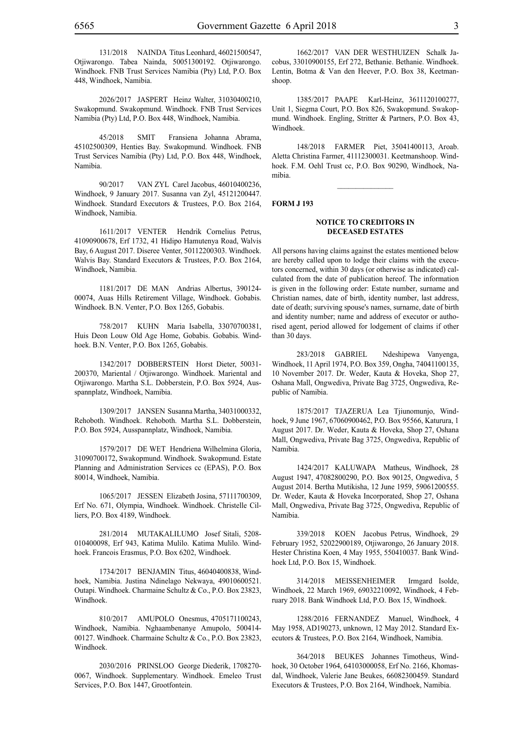131/2018 NAINDA Titus Leonhard, 46021500547, Otjiwarongo. Tabea Nainda, 50051300192. Otjiwarongo. Windhoek. FNB Trust Services Namibia (Pty) Ltd, P.O. Box 448, Windhoek, Namibia.

2026/2017 JASPERT Heinz Walter, 31030400210, Swakopmund. Swakopmund. Windhoek. FNB Trust Services Namibia (Pty) Ltd, P.O. Box 448, Windhoek, Namibia.

45/2018 SMIT Fransiena Johanna Abrama, 45102500309, Henties Bay. Swakopmund. Windhoek. FNB Trust Services Namibia (Pty) Ltd, P.O. Box 448, Windhoek, Namibia.

90/2017 VAN ZYL Carel Jacobus, 46010400236, Windhoek, 9 January 2017. Susanna van Zyl, 45121200447. Windhoek. Standard Executors & Trustees, P.O. Box 2164, Windhoek, Namibia.

1611/2017 VENTER Hendrik Cornelius Petrus, 41090900678, Erf 1732, 41 Hidipo Hamutenya Road, Walvis Bay, 6 August 2017. Diseree Venter, 50112200303. Windhoek. Walvis Bay. Standard Executors & Trustees, P.O. Box 2164, Windhoek, Namibia.

1181/2017 DE MAN Andrias Albertus, 390124- 00074, Auas Hills Retirement Village, Windhoek. Gobabis. Windhoek. B.N. Venter, P.O. Box 1265, Gobabis.

758/2017 KUHN Maria Isabella, 33070700381, Huis Deon Louw Old Age Home, Gobabis. Gobabis. Windhoek. B.N. Venter, P.O. Box 1265, Gobabis.

1342/2017 DOBBERSTEIN Horst Dieter, 50031- 200370, Mariental / Otjiwarongo. Windhoek. Mariental and Otjiwarongo. Martha S.L. Dobberstein, P.O. Box 5924, Ausspannplatz, Windhoek, Namibia.

1309/2017 JANSEN Susanna Martha, 34031000332, Rehoboth. Windhoek. Rehoboth. Martha S.L. Dobberstein, P.O. Box 5924, Ausspannplatz, Windhoek, Namibia.

1579/2017 DE WET Hendriena Wilhelmina Gloria, 31090700172, Swakopmund. Windhoek. Swakopmund. Estate Planning and Administration Services cc (EPAS), P.O. Box 80014, Windhoek, Namibia.

1065/2017 JESSEN Elizabeth Josina, 57111700309, Erf No. 671, Olympia, Windhoek. Windhoek. Christelle Cilliers, P.O. Box 4189, Windhoek.

281/2014 MUTAKALILUMO Josef Sitali, 5208- 010400098, Erf 943, Katima Mulilo. Katima Mulilo. Windhoek. Francois Erasmus, P.O. Box 6202, Windhoek.

1734/2017 BENJAMIN Titus, 46040400838, Windhoek, Namibia. Justina Ndinelago Nekwaya, 49010600521. Outapi. Windhoek. Charmaine Schultz & Co., P.O. Box 23823, Windhoek.

810/2017 AMUPOLO Onesmus, 4705171100243, Windhoek, Namibia. Nghaambenanye Amupolo, 500414- 00127. Windhoek. Charmaine Schultz & Co., P.O. Box 23823, Windhoek.

2030/2016 PRINSLOO George Diederik, 1708270- 0067, Windhoek. Supplementary. Windhoek. Emeleo Trust Services, P.O. Box 1447, Grootfontein.

1662/2017 VAN DER WESTHUIZEN Schalk Jacobus, 33010900155, Erf 272, Bethanie. Bethanie. Windhoek. Lentin, Botma & Van den Heever, P.O. Box 38, Keetmanshoop.

1385/2017 PAAPE Karl-Heinz, 3611120100277, Unit 1, Siegma Court, P.O. Box 826, Swakopmund. Swakopmund. Windhoek. Engling, Stritter & Partners, P.O. Box 43, Windhoek.

148/2018 FARMER Piet, 35041400113, Aroab. Aletta Christina Farmer, 41112300031. Keetmanshoop. Windhoek. F.M. Oehl Trust cc, P.O. Box 90290, Windhoek, Namibia.

#### **FORM J 193**

# **NOTICE TO CREDITORS IN DECEASED ESTATES**

All persons having claims against the estates mentioned below are hereby called upon to lodge their claims with the executors concerned, within 30 days (or otherwise as indicated) calculated from the date of publication hereof. The information is given in the following order: Estate number, surname and Christian names, date of birth, identity number, last address, date of death; surviving spouse's names, surname, date of birth and identity number; name and address of executor or authorised agent, period allowed for lodgement of claims if other than 30 days.

283/2018 GABRIEL Ndeshipewa Vanyenga, Windhoek, 11 April 1974, P.O. Box 359, Ongha, 74041100135, 10 November 2017. Dr. Weder, Kauta & Hoveka, Shop 27, Oshana Mall, Ongwediva, Private Bag 3725, Ongwediva, Republic of Namibia.

1875/2017 Tjazerua Lea Tjiunomunjo, Windhoek, 9 June 1967, 67060900462, P.O. Box 95566, Katurura, 1 August 2017. Dr. Weder, Kauta & Hoveka, Shop 27, Oshana Mall, Ongwediva, Private Bag 3725, Ongwediva, Republic of Namibia.

1424/2017 KALUWAPA Matheus, Windhoek, 28 August 1947, 47082800290, P.O. Box 90125, Ongwediva, 5 August 2014. Bertha Mutikisha, 12 June 1959, 59061200555. Dr. Weder, Kauta & Hoveka Incorporated, Shop 27, Oshana Mall, Ongwediva, Private Bag 3725, Ongwediva, Republic of Namibia.

339/2018 KOEN Jacobus Petrus, Windhoek, 29 February 1952, 52022900189, Otjiwarongo, 26 January 2018. Hester Christina Koen, 4 May 1955, 550410037. Bank Windhoek Ltd, P.O. Box 15, Windhoek.

314/2018 MEISSENHEIMER Irmgard Isolde, Windhoek, 22 March 1969, 69032210092, Windhoek, 4 February 2018. Bank Windhoek Ltd, P.O. Box 15, Windhoek.

1288/2016 FERNANDEZ Manuel, Windhoek, 4 May 1958, AD190273, unknown, 12 May 2012. Standard Executors & Trustees, P.O. Box 2164, Windhoek, Namibia.

364/2018 BEUKES Johannes Timotheus, Windhoek, 30 October 1964, 64103000058, Erf No. 2166, Khomasdal, Windhoek, Valerie Jane Beukes, 66082300459. Standard Executors & Trustees, P.O. Box 2164, Windhoek, Namibia.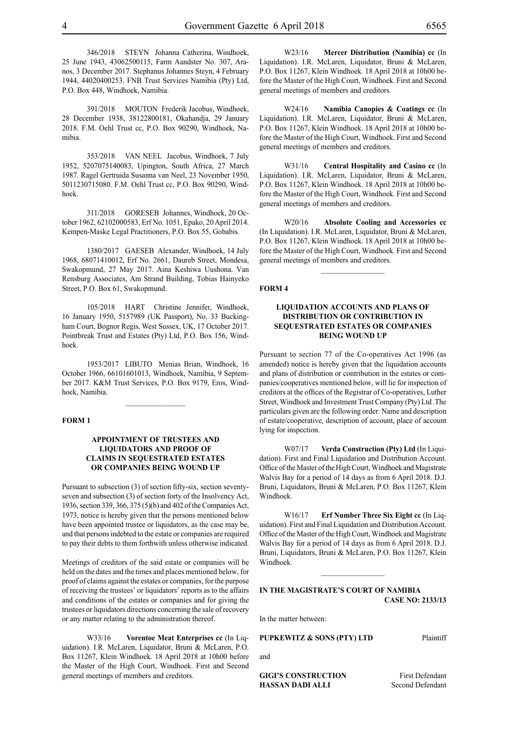346/2018 STEYN Johanna Catherina, Windhoek, 25 June 1943, 43062500115, Farm Aandster No. 307, Aranos, 3 December 2017. Stephanus Johannes Steyn, 4 February 1944, 44020400253. FNB Trust Services Namibia (Pty) Ltd, P.O. Box 448, Windhoek, Namibia.

391/2018 MOUTON Frederik Jacobus, Windhoek, 28 December 1938, 38122800181, Okahandja, 29 January 2018. F.M. Oehl Trust cc, P.O. Box 90290, Windhoek, Namibia.

353/2018 VAN NEEL Jacobus, Windhoek, 7 July 1952, 5207075140083, Upington, South Africa, 27 March 1987. Ragel Gertruida Susanna van Neel, 23 November 1950, 5011230715080. F.M. Oehl Trust cc, P.O. Box 90290, Windhoek.

311/2018 GORESEB Johannes, Windhoek, 20 October 1962, 62102000583, Erf No. 1051, Epako, 20 April 2014. Kempen-Maske Legal Practitioners, P.O. Box 55, Gobabis.

1380/2017 GAESEB Alexander, Windhoek, 14 July 1968, 68071410012, Erf No. 2661, Daureb Street, Mondesa, Swakopmund, 27 May 2017. Aina Keshiwa Uushona. Van Rensburg Associates, Am Strand Building, Tobias Hainyeko Street, P.O. Box 61, Swakopmund.

105/2018 HART Christine Jennifer, Windhoek, 16 January 1950, 5157989 (UK Passport), No. 33 Buckingham Court, Bognor Regis, West Sussex, UK, 17 October 2017. Pointbreak Trust and Estates (Pty) Ltd, P.O. Box 156, Windhoek.

1953/2017 LIBUTO Menias Brian, Windhoek, 16 October 1966, 66101601013, Windhoek, Namibia, 9 September 2017. K&M Trust Services, p.o. Box 9179, Eros, Windhoek, Namibia.

 $\frac{1}{2}$ 

# **FORM 1**

# **APPOINTMENT OF TRUSTEES AND LIQUIDATORS AND PROOF OF CLAIMS IN SEQUESTRATED ESTATES OR COMPANIES BEING WOUND UP**

Pursuant to subsection (3) of section fifty-six, section seventyseven and subsection (3) of section forty of the Insolvency Act, 1936, section 339, 366, 375 (5)(b) and 402 of the Companies Act, 1973, notice is hereby given that the persons mentioned below have been appointed trustee or liquidators, as the case may be, and that persons indebted to the estate or companies are required to pay their debts to them forthwith unless otherwise indicated.

Meetings of creditors of the said estate or companies will be held on the dates and the times and places mentioned below, for proof of claims against the estates or companies, for the purpose of receiving the trustees' or liquidators' reports as to the affairs and conditions of the estates or companies and for giving the trustees or liquidators directions concerning the sale of recovery or any matter relating to the administration thereof.

W33/16 **Vorentoe Meat Enterprises cc** (In Liquidation). I.R. McLaren, Liquidator, Bruni & McLaren, P.O. Box 11267, Klein Windhoek. 18 April 2018 at 10h00 before the Master of the High Court, Windhoek. First and Second general meetings of members and creditors.

W23/16 **Mercer Distribution (Namibia) cc** (In Liquidation). I.R. McLaren, Liquidator, Bruni & McLaren, P.O. Box 11267, Klein Windhoek. 18 April 2018 at 10h00 before the Master of the High Court, Windhoek. First and Second general meetings of members and creditors.

W24/16 **Namibia Canopies & Coatings cc** (In Liquidation). I.R. McLaren, Liquidator, Bruni & McLaren, P.O. Box 11267, Klein Windhoek. 18 April 2018 at 10h00 before the Master of the High Court, Windhoek. First and Second general meetings of members and creditors.

W31/16 **Central Hospitality and Casino cc** (In Liquidation). I.R. McLaren, Liquidator, Bruni & McLaren, P.O. Box 11267, Klein Windhoek. 18 April 2018 at 10h00 before the Master of the High Court, Windhoek. First and Second general meetings of members and creditors.

W20/16 **Absolute Cooling and Accessories cc** (In Liquidation). I.R. McLaren, Liquidator, Bruni & McLaren, P.O. Box 11267, Klein Windhoek. 18 April 2018 at 10h00 before the Master of the High Court, Windhoek. First and Second general meetings of members and creditors.

 $\frac{1}{2}$ 

#### **FORM 4**

# **LIQUIDATION ACCOUNTS AND PLANS OF DISTRIBUTION OR CONTRIBUTION IN SEQUESTRATED ESTATES OR COMPANIES BEING WOUND UP**

Pursuant to section 77 of the Co-operatives Act 1996 (as amended) notice is hereby given that the liquidation accounts and plans of distribution or contribution in the estates or companies/cooperatives mentioned below, will lie for inspection of creditors at the offices of the Registrar of Co-operatives, Luther Street, Windhoek and Investment Trust Company (Pty) Ltd .The particulars given are the following order: Name and description of estate/cooperative, description of account, place of account lying for inspection.

W07/17 **Verda Construction (Pty) Ltd** (In Liquidation). First and Final Liquidation and Distribution Account. Office of the Master of the High Court, Windhoek and Magistrate Walvis Bay for a period of 14 days as from 6 April 2018. D.J. Bruni, Liquidators, Bruni & McLaren, P.O. Box 11267, Klein Windhoek.

W16/17 **Erf Number Three Six Eight cc** (In Liquidation). First and Final Liquidation and Distribution Account. Office of the Master of the High Court, Windhoek and Magistrate Walvis Bay for a period of 14 days as from 6 April 2018. D.J. Bruni, Liquidators, Bruni & McLaren, P.O. Box 11267, Klein Windhoek.

# **IN THE MAGISTRATE'S COURT OF NAMIBIA CASE NO: 2133/13**

 $\mathcal{L}_\text{max}$ 

In the matter between:

**PUPKEWITZ & SONS (PTY) LTD** Plaintiff

and

**HASSAN DADI ALLI** Second Defendant

**GIGI'S CONSTRUCTION** First Defendant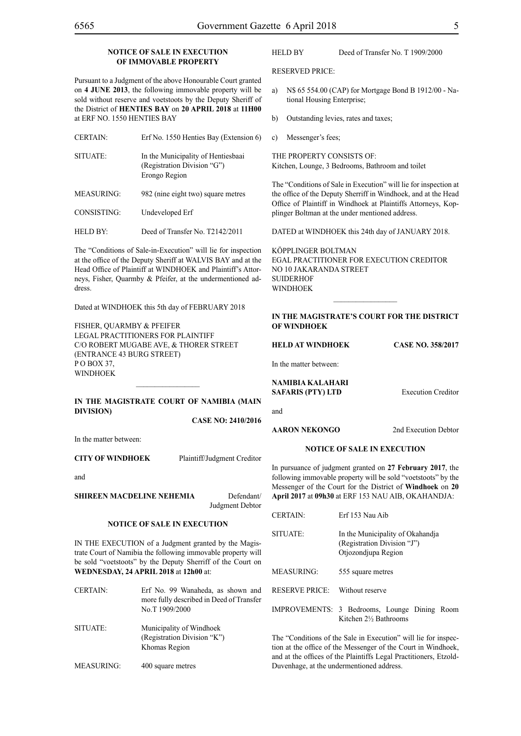# **NOTICE OF SALE IN EXECUTION OF IMMOVABLE PROPERTY**

Pursuant to a Judgment of the above Honourable Court granted on **4 JUNE 2013**, the following immovable property will be sold without reserve and voetstoots by the Deputy Sheriff of the District of **HENTIES BAY** on **20 APRIL 2018** at **11H00** at ERF NO. 1550 HENTIES BAY

| <b>CERTAIN:</b> | Erf No. 1550 Henties Bay (Extension 6)                                             |
|-----------------|------------------------------------------------------------------------------------|
| SITUATE:        | In the Municipality of Hentiesbaai<br>(Registration Division "G")<br>Erongo Region |
| MEASURING:      | 982 (nine eight two) square metres                                                 |

CONSISTING: Undeveloped Erf

HELD BY: Deed of Transfer No. T2142/2011

The "Conditions of Sale-in-Execution" will lie for inspection at the office of the Deputy Sheriff at WALVIS BAY and at the Head Office of Plaintiff at WINDHOEK and Plaintiff's Attorneys, Fisher, Quarmby & Pfeifer, at the undermentioned address.

Dated at WINDHOEK this 5th day of FEBRUARY 2018

FISHER, QUARMBY & PFEIFER Legal Practitioners for Plaintiff C/O Robert Mugabe Ave, & Thorer Street (Entrance 43 Burg Street) PO BOX 37. WINDHOEK

# **IN THE MAGISTRATE COURT OF NAMIBIA (Main Division)**

 $\frac{1}{2}$ 

**CASE NO: 2410/2016**

In the matter between:

**CITY OF WINDHOEK** Plaintiff/Judgment Creditor

and

**SHIREEN MACDELINE NEHEMIA** Defendant/ Judgment Debtor

#### **NOTICE OF SALE IN EXECUTION**

IN THE EXECUTION of a Judgment granted by the Magistrate Court of Namibia the following immovable property will be sold "voetstoots" by the Deputy Sherriff of the Court on **WEDNESDAY, 24 APRIL 2018** at **12h00** at:

| <b>CERTAIN:</b> | Erf No. 99 Wanaheda, as shown and<br>more fully described in Deed of Transfer<br>No.T 1909/2000 |
|-----------------|-------------------------------------------------------------------------------------------------|
| SITUATE:        | Municipality of Windhoek<br>(Registration Division "K")<br>Khomas Region                        |

MEASURING: 400 square metres

# HELD BY Deed of Transfer No. T 1909/2000

RESERVED PRICE:

- a) N\$ 65 554.00 (CAP) for Mortgage Bond B 1912/00 National Housing Enterprise;
- b) Outstanding levies, rates and taxes;
- c) Messenger's fees;

THE PROPERTY CONSISTS OF: Kitchen, Lounge, 3 Bedrooms, Bathroom and toilet

The "Conditions of Sale in Execution" will lie for inspection at the office of the Deputy Sherriff in Windhoek, and at the Head Office of Plaintiff in Windhoek at Plaintiffs Attorneys, Kopplinger Boltman at the under mentioned address.

DATED at WINDHOEK this 24th day of JANUARY 2018.

KÖPPLINGER BOLTMAN EGAL PRACTITIONER FOR EXECUTION CREDITOR NO 10 JAKARANDA STREET SUIDERHOF **WINDHOEK** 

# **In the MAGISTRATE'S COURT for the DISTRICT of WINDHOEK**

**HELD at WINDHOEK Case No. 358/2017**

In the matter between:

**NAMIBIA KALAHARI SAFARIS (PTY) LTD** Execution Creditor

and

**AARON NEKONGO** 2nd Execution Debtor

#### **NOTICE OF SALE IN EXECUTION**

In pursuance of judgment granted on **27 February 2017**, the following immovable property will be sold "voetstoots" by the Messenger of the Court for the District of **Windhoek** on **20 April 2017** at **09h30** at ERF 153 NAU AIB, OKAHANDJA:

| <b>CERTAIN:</b>       | Erf 153 Nau Aib                                                                        |
|-----------------------|----------------------------------------------------------------------------------------|
| SITUATE:              | In the Municipality of Okahandja<br>(Registration Division "J")<br>Otjozondjupa Region |
| <b>MEASURING:</b>     | 555 square metres                                                                      |
| <b>RESERVE PRICE:</b> | Without reserve                                                                        |
|                       | IMPROVEMENTS: 3 Bedrooms, Lounge Dining Room<br>Kitchen 2½ Bathrooms                   |

The "Conditions of the Sale in Execution" will lie for inspection at the office of the Messenger of the Court in Windhoek, and at the offices of the Plaintiffs Legal Practitioners, Etzold-Duvenhage, at the undermentioned address.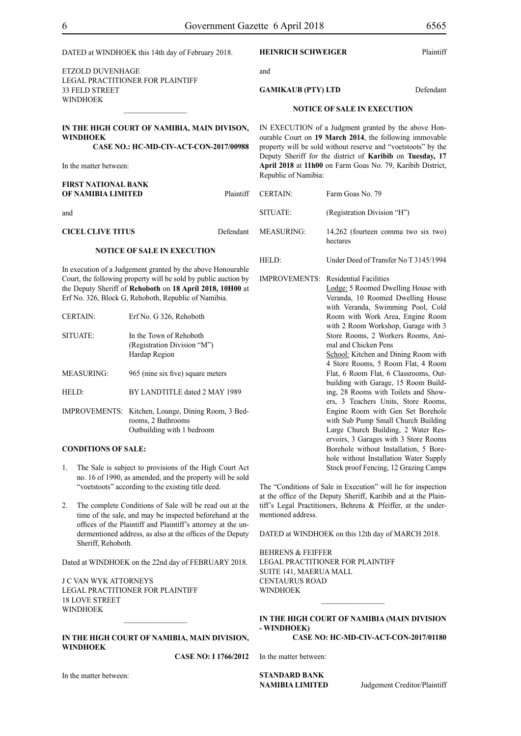|                                                                                                                                                                                                                                                     |                            | DATED at WINDHOEK this 14th day of February 2018.                                                                          |                                                                                                                         | <b>HEINRICH SCHWEIGER</b>                                                                                                       |                                                                                                                 | Plaintiff |
|-----------------------------------------------------------------------------------------------------------------------------------------------------------------------------------------------------------------------------------------------------|----------------------------|----------------------------------------------------------------------------------------------------------------------------|-------------------------------------------------------------------------------------------------------------------------|---------------------------------------------------------------------------------------------------------------------------------|-----------------------------------------------------------------------------------------------------------------|-----------|
| <b>ETZOLD DUVENHAGE</b><br>LEGAL PRACTITIONER FOR PLAINTIFF<br>33 FELD STREET                                                                                                                                                                       |                            | and                                                                                                                        |                                                                                                                         |                                                                                                                                 |                                                                                                                 |           |
|                                                                                                                                                                                                                                                     |                            | <b>GAMIKAUB (PTY) LTD</b>                                                                                                  |                                                                                                                         | Defendant                                                                                                                       |                                                                                                                 |           |
|                                                                                                                                                                                                                                                     | <b>WINDHOEK</b>            |                                                                                                                            |                                                                                                                         |                                                                                                                                 | <b>NOTICE OF SALE IN EXECUTION</b>                                                                              |           |
|                                                                                                                                                                                                                                                     |                            |                                                                                                                            |                                                                                                                         |                                                                                                                                 |                                                                                                                 |           |
|                                                                                                                                                                                                                                                     | <b>WINDHOEK</b>            | IN THE HIGH COURT OF NAMIBIA, MAIN DIVISON,                                                                                |                                                                                                                         |                                                                                                                                 | IN EXECUTION of a Judgment granted by the above Hon-<br>ourable Court on 19 March 2014, the following immovable |           |
| CASE NO.: HC-MD-CIV-ACT-CON-2017/00988                                                                                                                                                                                                              |                            | property will be sold without reserve and "voetstoots" by the<br>Deputy Sheriff for the district of Karibib on Tuesday, 17 |                                                                                                                         |                                                                                                                                 |                                                                                                                 |           |
|                                                                                                                                                                                                                                                     | In the matter between:     |                                                                                                                            |                                                                                                                         | Republic of Namibia:                                                                                                            | April 2018 at 11h00 on Farm Goas No. 79, Karibib District,                                                      |           |
|                                                                                                                                                                                                                                                     | <b>FIRST NATIONAL BANK</b> |                                                                                                                            |                                                                                                                         |                                                                                                                                 |                                                                                                                 |           |
|                                                                                                                                                                                                                                                     | OF NAMIBIA LIMITED         |                                                                                                                            | Plaintiff                                                                                                               | <b>CERTAIN:</b>                                                                                                                 | Farm Goas No. 79                                                                                                |           |
| and                                                                                                                                                                                                                                                 |                            |                                                                                                                            |                                                                                                                         | SITUATE:                                                                                                                        | (Registration Division "H")                                                                                     |           |
|                                                                                                                                                                                                                                                     | <b>CICEL CLIVE TITUS</b>   |                                                                                                                            | Defendant                                                                                                               | <b>MEASURING:</b>                                                                                                               | 14,262 (fourteen comma two six two)<br>hectares                                                                 |           |
|                                                                                                                                                                                                                                                     |                            | <b>NOTICE OF SALE IN EXECUTION</b>                                                                                         |                                                                                                                         |                                                                                                                                 |                                                                                                                 |           |
|                                                                                                                                                                                                                                                     |                            |                                                                                                                            |                                                                                                                         | HELD:                                                                                                                           | Under Deed of Transfer No T 3145/1994                                                                           |           |
| In execution of a Judgement granted by the above Honourable<br>Court, the following property will be sold by public auction by<br>the Deputy Sheriff of Rehoboth on 18 April 2018, 10H00 at<br>Erf No. 326, Block G, Rehoboth, Republic of Namibia. |                            |                                                                                                                            | <b>IMPROVEMENTS:</b> Residential Facilities<br>Lodge: 5 Roomed Dwelling House with<br>Veranda, 10 Roomed Dwelling House |                                                                                                                                 |                                                                                                                 |           |
|                                                                                                                                                                                                                                                     | <b>CERTAIN:</b>            | Erf No. G 326, Rehoboth                                                                                                    |                                                                                                                         |                                                                                                                                 | with Veranda, Swimming Pool, Cold<br>Room with Work Area, Engine Room<br>with 2 Room Workshop, Garage with 3    |           |
|                                                                                                                                                                                                                                                     | SITUATE:                   | In the Town of Rehoboth                                                                                                    |                                                                                                                         |                                                                                                                                 | Store Rooms, 2 Workers Rooms, Ani-                                                                              |           |
|                                                                                                                                                                                                                                                     |                            | (Registration Division "M")<br>Hardap Region                                                                               |                                                                                                                         |                                                                                                                                 | mal and Chicken Pens<br>School: Kitchen and Dining Room with                                                    |           |
|                                                                                                                                                                                                                                                     | <b>MEASURING:</b>          | 965 (nine six five) square meters                                                                                          |                                                                                                                         |                                                                                                                                 | 4 Store Rooms, 5 Room Flat, 4 Room<br>Flat, 6 Room Flat, 6 Classrooms, Out-                                     |           |
|                                                                                                                                                                                                                                                     | HELD:                      | BY LANDTITLE dated 2 MAY 1989                                                                                              |                                                                                                                         |                                                                                                                                 | building with Garage, 15 Room Build-<br>ing, 28 Rooms with Toilets and Show-                                    |           |
|                                                                                                                                                                                                                                                     |                            | IMPROVEMENTS: Kitchen, Lounge, Dining Room, 3 Bed-                                                                         |                                                                                                                         |                                                                                                                                 | ers, 3 Teachers Units, Store Rooms,<br>Engine Room with Gen Set Borehole                                        |           |
|                                                                                                                                                                                                                                                     |                            | rooms, 2 Bathrooms<br>Outbuilding with 1 bedroom                                                                           |                                                                                                                         |                                                                                                                                 | with Sub Pump Small Church Building<br>Large Church Building, 2 Water Res-                                      |           |
|                                                                                                                                                                                                                                                     |                            |                                                                                                                            |                                                                                                                         |                                                                                                                                 | ervoirs, 3 Garages with 3 Store Rooms                                                                           |           |
|                                                                                                                                                                                                                                                     | <b>CONDITIONS OF SALE:</b> |                                                                                                                            |                                                                                                                         |                                                                                                                                 | Borehole without Installation, 5 Bore-<br>hole without Installation Water Supply                                |           |
| 1.                                                                                                                                                                                                                                                  |                            | The Sale is subject to provisions of the High Court Act<br>no. 16 of 1990, as amended, and the property will be sold       |                                                                                                                         |                                                                                                                                 | Stock proof Fencing, 12 Grazing Camps                                                                           |           |
| "voetstoots" according to the existing title deed.                                                                                                                                                                                                  |                            |                                                                                                                            |                                                                                                                         | The "Conditions of Sale in Execution" will lie for inspection<br>at the office of the Deputy Sheriff, Karibib and at the Plain- |                                                                                                                 |           |
| The complete Conditions of Sale will be read out at the<br>2.<br>time of the sale, and may be inspected beforehand at the<br>offices of the Plaintiff and Plaintiff's attorney at the un-                                                           |                            |                                                                                                                            | tiff's Legal Practitioners, Behrens & Pfeiffer, at the under-                                                           |                                                                                                                                 |                                                                                                                 |           |
|                                                                                                                                                                                                                                                     |                            | mentioned address.                                                                                                         |                                                                                                                         |                                                                                                                                 |                                                                                                                 |           |
|                                                                                                                                                                                                                                                     | Sheriff, Rehoboth.         | dermentioned address, as also at the offices of the Deputy                                                                 |                                                                                                                         |                                                                                                                                 | DATED at WINDHOEK on this 12th day of MARCH 2018.                                                               |           |
|                                                                                                                                                                                                                                                     |                            |                                                                                                                            | <b>BEHRENS &amp; FEIFFER</b>                                                                                            |                                                                                                                                 |                                                                                                                 |           |
|                                                                                                                                                                                                                                                     |                            | Dated at WINDHOEK on the 22nd day of FEBRUARY 2018.                                                                        |                                                                                                                         | SUITE 141, MAERUA MALL                                                                                                          | LEGAL PRACTITIONER FOR PLAINTIFF                                                                                |           |
| <b>J C VAN WYK ATTORNEYS</b>                                                                                                                                                                                                                        |                            | <b>CENTAURUS ROAD</b>                                                                                                      |                                                                                                                         |                                                                                                                                 |                                                                                                                 |           |

J C VAN WYK ATTORNEYS Legal Practitioner for Plaintiff 18 LOVE STREET WINDHOEK

# **IN THE HIGH COURT OF NAMIBIA, MAIN DIVISION, WINDHOEK**

 $\frac{1}{2}$ 

**CASE NO: I 1766/2012**

In the matter between:

In the matter between:

WINDHOEK

**- Windhoek)**

**STANDARD BANK** 

**Judgement Creditor/Plaintiff** 

 $\frac{1}{2}$ 

**IN THE HIGH COURT OF NAMIBIA (Main Division**

**CASE NO: HC-MD-CIV-ACT-CON-2017/01180**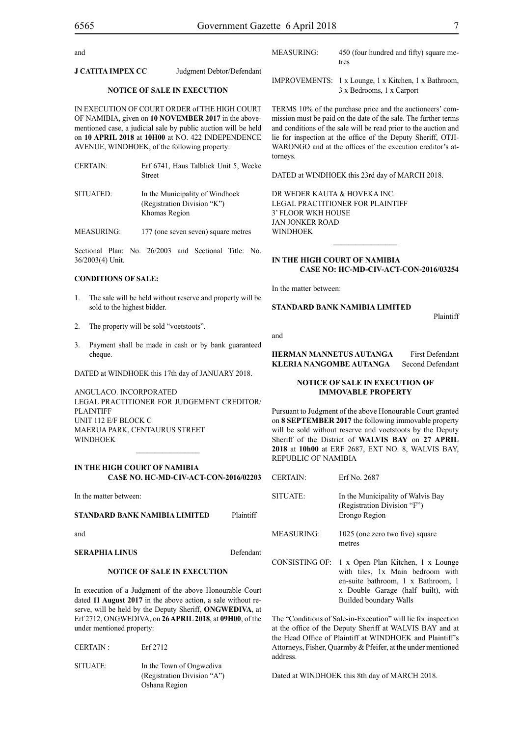and

**J CATITA IMPEX CC** Judgment Debtor/Defendant

### **NOTICE OF SALE IN EXECUTION**

IN EXECUTION OF COURT ORDER of THE HIGH COURT OF NAMIBIA, given on **10 NOVEMBER 2017** in the abovementioned case, a judicial sale by public auction will be held on **10 APRIL 2018** at **10H00** at NO. 422 INDEPENDENCE AVENUE, WINDHOEK, of the following property:

| <b>CERTAIN:</b> | Erf 6741, Haus Talblick Unit 5, Wecke |
|-----------------|---------------------------------------|
|                 | Street                                |

| SITUATED: | In the Municipality of Windhoek |
|-----------|---------------------------------|
|           | (Registration Division "K")     |
|           | Khomas Region                   |

MEASURING: 177 (one seven seven) square metres

Sectional Plan: No. 26/2003 and Sectional Title: No. 36/2003(4) Unit.

#### **CONDITIONS OF SALE:**

- 1. The sale will be held without reserve and property will be sold to the highest bidder.
- 2. The property will be sold "voetstoots".
- 3. Payment shall be made in cash or by bank guaranteed cheque.

DATED at WINDHOEK this 17th day of JANUARY 2018.

ANGULACO. INCORPORATED Legal Practitioner for Judgement Creditor/ PLAINTIFF Unit 112 E/F Block C Maerua Park, Centaurus Street WINDHOEK

# **IN THE HIGH COURT OF NAMIBIA CASE NO. HC-MD-CIV-ACT-CON-2016/02203**

 $\frac{1}{2}$ 

In the matter between:

# **STANDARD BANK NAMIBIA LIMITED** Plaintiff

and

**SERAPHIA LINUS** Defendant

#### **NOTICE OF SALE IN EXECUTION**

In execution of a Judgment of the above Honourable Court dated **11 August 2017** in the above action, a sale without reserve, will be held by the Deputy Sheriff, **ONGWEDIVA**, at Erf 2712, ONGWEDIVA, on **26 APRIL 2018**, at **09H00**, of the under mentioned property:

| CERTAIN: | Erf 2712                                                                 |
|----------|--------------------------------------------------------------------------|
| SITUATE: | In the Town of Ongwediva<br>(Registration Division "A")<br>Oshana Region |

| MEASURING: | 450 (four hundred and fifty) square me- |
|------------|-----------------------------------------|
|            | tres                                    |

IMPROVEMENTS: 1 x Lounge, 1 x Kitchen, 1 x Bathroom, 3 x Bedrooms, 1 x Carport

TERMS 10% of the purchase price and the auctioneers' commission must be paid on the date of the sale. The further terms and conditions of the sale will be read prior to the auction and lie for inspection at the office of the Deputy Sheriff, OTJI-WARONGO and at the offices of the execution creditor's attorneys.

DATED at WINDHOEK this 23rd day of MARCH 2018.

DR WEDER KAUTA & HOVEKA INC. Legal Practitioner for Plaintiff 3' Floor WKH House Jan Jonker Road WINDHOEK

# **IN THE HIGH COURT OF NAMIBIA CASE NO: HC-MD-CIV-ACT-CON-2016/03254**

 $\frac{1}{2}$ 

In the matter between:

# **STANDARD BANK NAMIBIA LIMITED**

Plaintiff

and

**HERMAN MANNETUS AUTANGA** First Defendant **KLERIA NANGOMBE AUTANGA** Second Defendant

# **NOTICE OF SALE IN EXECUTION OF IMMOVABLE PROPERTY**

Pursuant to Judgment of the above Honourable Court granted on **8 SEPTEMBER 2017** the following immovable property will be sold without reserve and voetstoots by the Deputy Sheriff of the District of **WALVIS BAY** on **27 APRIL 2018** at **10h00** at ERF 2687, EXT NO. 8, WALVIS BAY, REPUBLIC OF NAMIBIA

| <b>CERTAIN</b>         | Erf No. 2687                                                                                                                                                                |
|------------------------|-----------------------------------------------------------------------------------------------------------------------------------------------------------------------------|
| SITUATE <sup>.</sup>   | In the Municipality of Walvis Bay<br>(Registration Division "F")<br>Erongo Region                                                                                           |
| MEASURING <sup>.</sup> | 1025 (one zero two five) square<br>metres                                                                                                                                   |
| CONSISTING OF:         | 1 x Open Plan Kitchen, 1 x Lounge<br>with tiles, 1x Main bedroom with<br>en-suite bathroom, 1 x Bathroom, 1<br>x Double Garage (half built), with<br>Builded boundary Walls |

The "Conditions of Sale-in-Execution" will lie for inspection at the office of the Deputy Sheriff at WALVIS BAY and at the Head Office of Plaintiff at WINDHOEK and Plaintiff's Attorneys, Fisher, Quarmby & Pfeifer, at the under mentioned address.

Dated at WINDHOEK this 8th day of MARCH 2018.